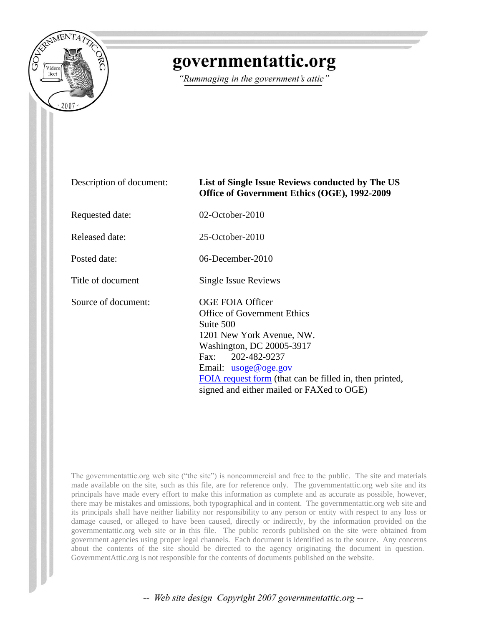

## governmentattic.org

"Rummaging in the government's attic"

| Description of document: | List of Single Issue Reviews conducted by The US<br>Office of Government Ethics (OGE), 1992-2009                                                                                                                                                                                               |  |
|--------------------------|------------------------------------------------------------------------------------------------------------------------------------------------------------------------------------------------------------------------------------------------------------------------------------------------|--|
| Requested date:          | $02$ -October-2010                                                                                                                                                                                                                                                                             |  |
| Released date:           | $25$ -October-2010                                                                                                                                                                                                                                                                             |  |
| Posted date:             | 06-December-2010                                                                                                                                                                                                                                                                               |  |
| Title of document        | Single Issue Reviews                                                                                                                                                                                                                                                                           |  |
| Source of document:      | <b>OGE FOIA Officer</b><br><b>Office of Government Ethics</b><br>Suite 500<br>1201 New York Avenue, NW.<br>Washington, DC 20005-3917<br>202-482-9237<br>Fax:<br>Email: $usoge@oge.gov$<br>FOIA request form (that can be filled in, then printed,<br>signed and either mailed or FAXed to OGE) |  |

The governmentattic.org web site ("the site") is noncommercial and free to the public. The site and materials made available on the site, such as this file, are for reference only. The governmentattic.org web site and its principals have made every effort to make this information as complete and as accurate as possible, however, there may be mistakes and omissions, both typographical and in content. The governmentattic.org web site and its principals shall have neither liability nor responsibility to any person or entity with respect to any loss or damage caused, or alleged to have been caused, directly or indirectly, by the information provided on the governmentattic.org web site or in this file. The public records published on the site were obtained from government agencies using proper legal channels. Each document is identified as to the source. Any concerns about the contents of the site should be directed to the agency originating the document in question. GovernmentAttic.org is not responsible for the contents of documents published on the website.

-- Web site design Copyright 2007 governmentattic.org --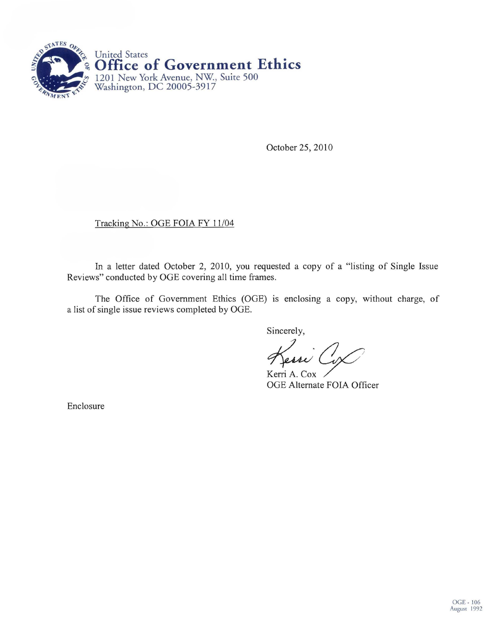

October 25,2010

## Tracking No.: OGE FOIA FY 11/04

In a letter dated October 2, 2010, you requested a copy of a "listing of Single Issue Reviews" conducted by OGE covering all time frames.

The Office of Government Ethics (OGE) is enclosing a copy, without charge, of a list of single issue reviews completed by OGE.

Sincerely,

 $\chi'_{essi}$  (  $\curvearrowleft$ Kessi Cox<br>Kerri A. Cox<br>OGE Alternate FOIA Officer

Kerri A. Cox

Enclosure